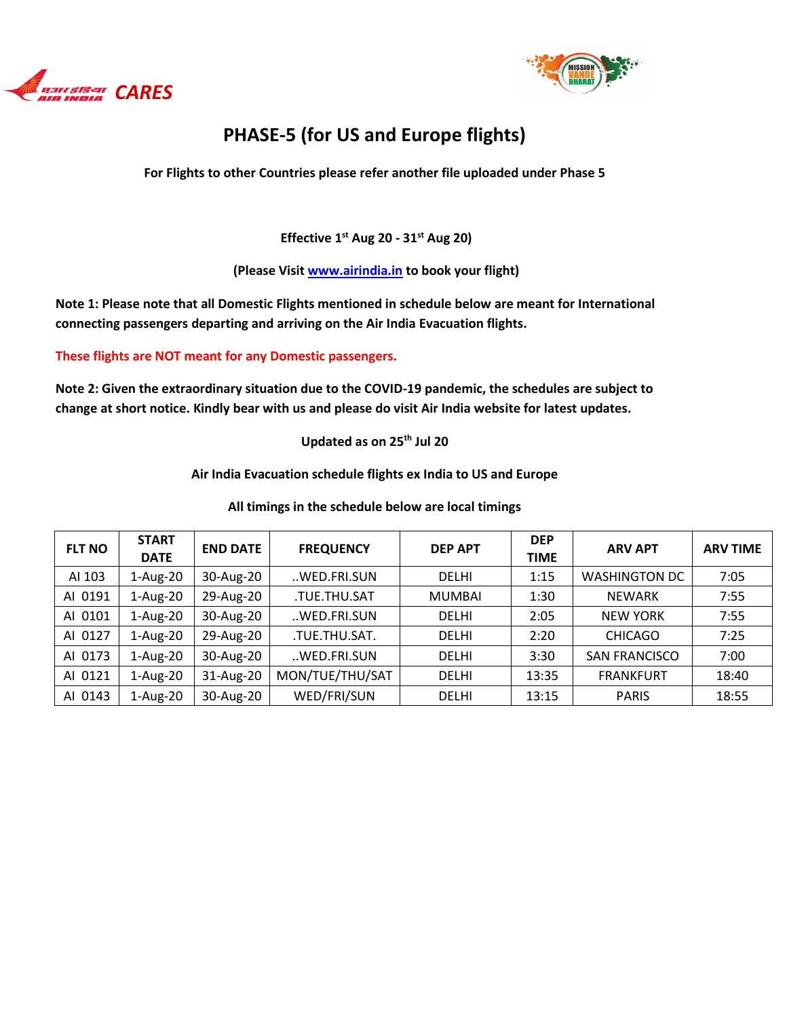



## **PHASE-5 (for US and Europe flights)**

**For Flights to other Countries please refer another file uploaded under Phase 5** 

**Effective 1 st Aug 20 - 31st Aug 20)**

**(Please Visi[t www.airindia.in](http://www.airindia.in/) to book your flight)**

**Note 1: Please note that all Domestic Flights mentioned in schedule below are meant for International connecting passengers departing and arriving on the Air India Evacuation flights.**

**These flights are NOT meant for any Domestic passengers.**

**Note 2: Given the extraordinary situation due to the COVID-19 pandemic, the schedules are subject to change at short notice. Kindly bear with us and please do visit Air India website for latest updates.**

**Updated as on 25 th Jul 20**

**Air India Evacuation schedule flights ex India to US and Europe**

**All timings in the schedule below are local timings**

| <b>FLT NO</b> | <b>START</b><br><b>DATE</b> | <b>END DATE</b> | <b>FREQUENCY</b> | <b>DEP APT</b> | <b>DEP</b><br><b>TIME</b> | <b>ARV APT</b>       | <b>ARV TIME</b> |
|---------------|-----------------------------|-----------------|------------------|----------------|---------------------------|----------------------|-----------------|
| AI 103        | $1-Aug-20$                  | 30-Aug-20       | WED.FRI.SUN      | <b>DELHI</b>   | 1:15                      | <b>WASHINGTON DC</b> | 7:05            |
| AI 0191       | $1-Aug-20$                  | 29-Aug-20       | .TUE.THU.SAT     | <b>MUMBAI</b>  | 1:30                      | <b>NEWARK</b>        | 7:55            |
| AI 0101       | $1-Aug-20$                  | 30-Aug-20       | WED.FRI.SUN      | <b>DELHI</b>   | 2:05                      | <b>NEW YORK</b>      | 7:55            |
| AI 0127       | $1-Aug-20$                  | 29-Aug-20       | .TUE.THU.SAT.    | DELHI          | 2:20                      | <b>CHICAGO</b>       | 7:25            |
| AI 0173       | $1-Aug-20$                  | 30-Aug-20       | WED.FRI.SUN      | DELHI          | 3:30                      | <b>SAN FRANCISCO</b> | 7:00            |
| AI 0121       | $1-Aug-20$                  | 31-Aug-20       | MON/TUE/THU/SAT  | DELHI          | 13:35                     | <b>FRANKFURT</b>     | 18:40           |
| AI 0143       | $1-Aug-20$                  | 30-Aug-20       | WED/FRI/SUN      | <b>DELHI</b>   | 13:15                     | <b>PARIS</b>         | 18:55           |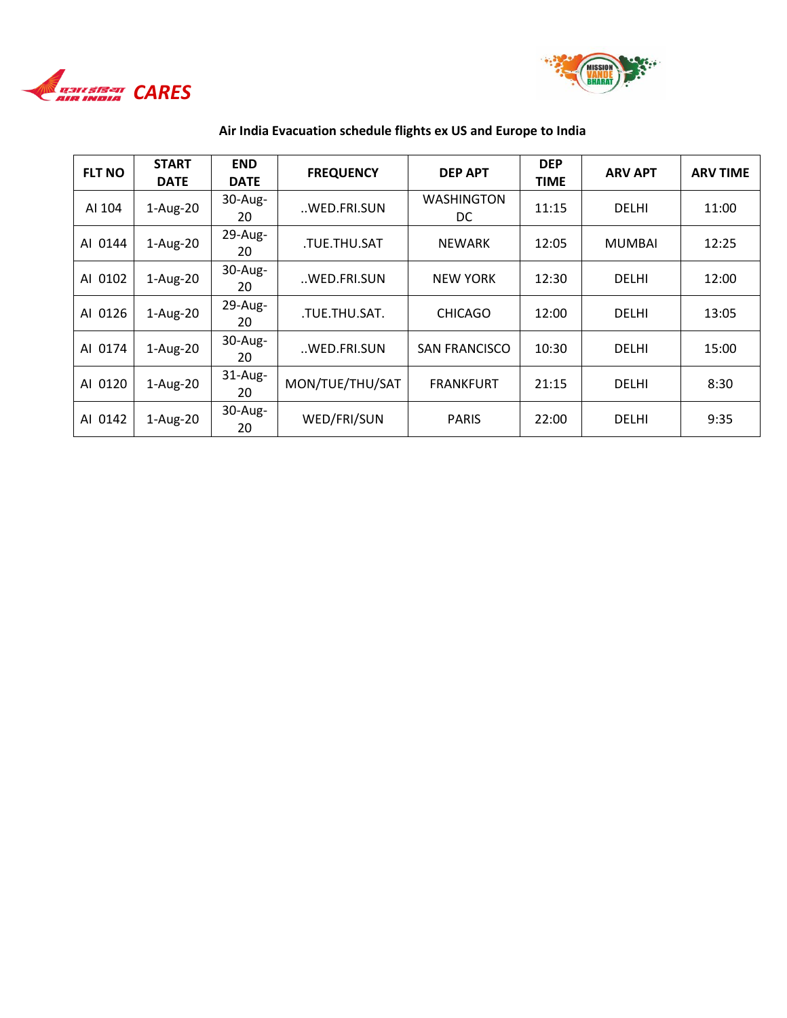



| <b>FLT NO</b> | <b>START</b><br><b>DATE</b> | <b>END</b><br><b>DATE</b> | <b>FREQUENCY</b> | <b>DEP APT</b>          | <b>DEP</b><br><b>TIME</b> | <b>ARV APT</b> | <b>ARV TIME</b> |
|---------------|-----------------------------|---------------------------|------------------|-------------------------|---------------------------|----------------|-----------------|
| AI 104        | $1-Aug-20$                  | $30-Aug-$<br>20           | WED.FRI.SUN      | <b>WASHINGTON</b><br>DC | 11:15                     | <b>DELHI</b>   | 11:00           |
| AI 0144       | $1-Aug-20$                  | 29-Aug-<br>20             | TUE.THU.SAT.     | <b>NEWARK</b>           | 12:05                     | <b>MUMBAI</b>  | 12:25           |
| AI 0102       | $1-Aug-20$                  | $30-Aug-$<br>20           | WED.FRI.SUN      | <b>NEW YORK</b>         | 12:30                     | <b>DELHI</b>   | 12:00           |
| AI 0126       | $1-Aug-20$                  | $29$ -Aug-<br>20          | .TUE.THU.SAT.    | <b>CHICAGO</b>          | 12:00                     | <b>DELHI</b>   | 13:05           |
| AI 0174       | $1-Aug-20$                  | $30$ -Aug-<br>20          | WED.FRI.SUN      | <b>SAN FRANCISCO</b>    | 10:30                     | <b>DELHI</b>   | 15:00           |
| AI 0120       | $1-Aug-20$                  | $31$ -Aug-<br>20          | MON/TUE/THU/SAT  | <b>FRANKFURT</b>        | 21:15                     | <b>DELHI</b>   | 8:30            |
| AI 0142       | $1-Aug-20$                  | $30-Aug-$<br>20           | WED/FRI/SUN      | <b>PARIS</b>            | 22:00                     | <b>DELHI</b>   | 9:35            |

## **Air India Evacuation schedule flights ex US and Europe to India**